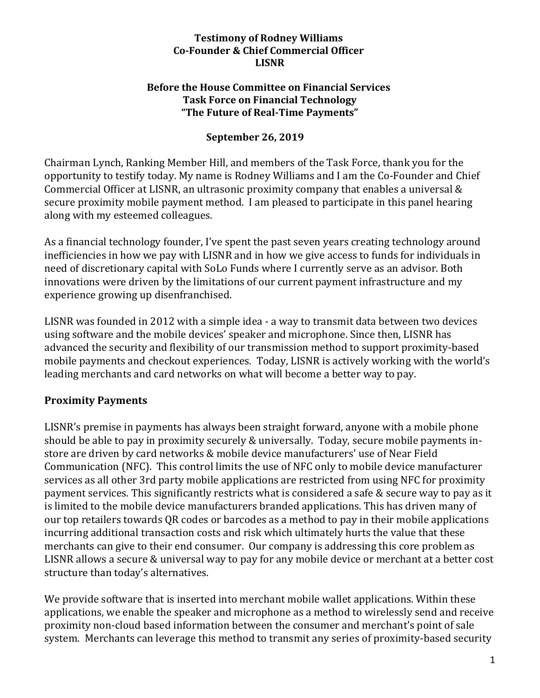#### **Testimony of Rodney Williams Co-Founder & Chief Commercial Officer LISNR**

#### **Before the House Committee on Financial Services Task Force on Financial Technology** "The Future of Real-Time Payments"

### **September 26, 2019**

Chairman Lynch, Ranking Member Hill, and members of the Task Force, thank you for the opportunity to testify today. My name is Rodney Williams and I am the Co-Founder and Chief Commercial Officer at LISNR, an ultrasonic proximity company that enables a universal  $&$ secure proximity mobile payment method. I am pleased to participate in this panel hearing along with my esteemed colleagues.

As a financial technology founder, I've spent the past seven years creating technology around inefficiencies in how we pay with LISNR and in how we give access to funds for individuals in need of discretionary capital with SoLo Funds where I currently serve as an advisor. Both innovations were driven by the limitations of our current payment infrastructure and my experience growing up disenfranchised.

LISNR was founded in 2012 with a simple idea - a way to transmit data between two devices using software and the mobile devices' speaker and microphone. Since then, LISNR has advanced the security and flexibility of our transmission method to support proximity-based mobile payments and checkout experiences. Today, LISNR is actively working with the world's leading merchants and card networks on what will become a better way to pay.

## **Proximity Payments**

LISNR's premise in payments has always been straight forward, anyone with a mobile phone should be able to pay in proximity securely & universally. Today, secure mobile payments instore are driven by card networks & mobile device manufacturers' use of Near Field Communication (NFC). This control limits the use of NFC only to mobile device manufacturer services as all other 3rd party mobile applications are restricted from using NFC for proximity payment services. This significantly restricts what is considered a safe & secure way to pay as it is limited to the mobile device manufacturers branded applications. This has driven many of our top retailers towards QR codes or barcodes as a method to pay in their mobile applications incurring additional transaction costs and risk which ultimately hurts the value that these merchants can give to their end consumer. Our company is addressing this core problem as LISNR allows a secure & universal way to pay for any mobile device or merchant at a better cost structure than today's alternatives.

We provide software that is inserted into merchant mobile wallet applications. Within these applications, we enable the speaker and microphone as a method to wirelessly send and receive proximity non-cloud based information between the consumer and merchant's point of sale system. Merchants can leverage this method to transmit any series of proximity-based security